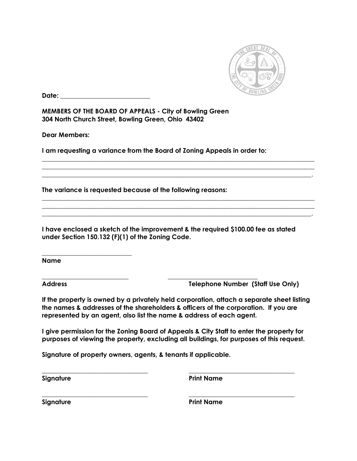

**Date:**  $\blacksquare$ 

\_\_\_\_\_\_\_\_\_\_\_\_\_\_\_\_\_\_\_\_\_\_\_\_\_\_\_\_

**MEMBERS OF THE BOARD OF APPEALS - City of Bowling Green 304 North Church Street, Bowling Green, Ohio 43402**

**Dear Members:** 

**I am requesting a variance from the Board of Zoning Appeals in order to:**

**The variance is requested because of the following reasons:**

**I have enclosed a sketch of the improvement & the required \$100.00 fee as stated under Section 150.132 (F)(1) of the Zoning Code.**

\_\_\_\_\_\_\_\_\_\_\_\_\_\_\_\_\_\_\_\_\_\_\_\_\_\_\_ \_\_\_\_\_\_\_\_\_\_\_\_\_\_\_\_\_\_\_\_\_\_\_\_\_\_\_\_

\_\_\_\_\_\_\_\_\_\_\_\_\_\_\_\_\_\_\_\_\_\_\_\_\_\_\_\_\_\_\_\_\_\_\_\_\_\_\_\_\_\_\_\_\_\_\_\_\_\_\_\_\_\_\_\_\_\_\_\_\_\_\_\_\_\_\_\_\_\_\_\_\_\_\_\_\_\_\_\_\_\_\_\_\_  $\_$  , and the set of the set of the set of the set of the set of the set of the set of the set of the set of the set of the set of the set of the set of the set of the set of the set of the set of the set of the set of th \_\_\_\_\_\_\_\_\_\_\_\_\_\_\_\_\_\_\_\_\_\_\_\_\_\_\_\_\_\_\_\_\_\_\_\_\_\_\_\_\_\_\_\_\_\_\_\_\_\_\_\_\_\_\_\_\_\_\_\_\_\_\_\_\_\_\_\_\_\_\_\_\_\_\_\_\_\_\_\_\_\_\_\_.

 $\_$  , and the set of the set of the set of the set of the set of the set of the set of the set of the set of the set of the set of the set of the set of the set of the set of the set of the set of the set of the set of th \_\_\_\_\_\_\_\_\_\_\_\_\_\_\_\_\_\_\_\_\_\_\_\_\_\_\_\_\_\_\_\_\_\_\_\_\_\_\_\_\_\_\_\_\_\_\_\_\_\_\_\_\_\_\_\_\_\_\_\_\_\_\_\_\_\_\_\_\_\_\_\_\_\_\_\_\_\_\_\_\_\_\_\_\_ \_\_\_\_\_\_\_\_\_\_\_\_\_\_\_\_\_\_\_\_\_\_\_\_\_\_\_\_\_\_\_\_\_\_\_\_\_\_\_\_\_\_\_\_\_\_\_\_\_\_\_\_\_\_\_\_\_\_\_\_\_\_\_\_\_\_\_\_\_\_\_\_\_\_\_\_\_\_\_\_\_\_\_\_.

**Name**

**Address Telephone Number (Staff Use Only)**

**If the property is owned by a privately held corporation, attach a separate sheet listing the names & addresses of the shareholders & officers of the corporation. If you are represented by an agent, also list the name & address of each agent.**

**I give permission for the Zoning Board of Appeals & City Staff to enter the property for purposes of viewing the property, excluding all buildings, for purposes of this request.**

 $\_$  , and the set of the set of the set of the set of the set of the set of the set of the set of the set of the set of the set of the set of the set of the set of the set of the set of the set of the set of the set of th

 $\_$  , and the set of the set of the set of the set of the set of the set of the set of the set of the set of the set of the set of the set of the set of the set of the set of the set of the set of the set of the set of th

**Signature of property owners, agents, & tenants if applicable.**

**Signature Print Name** 

**Signature Print Name**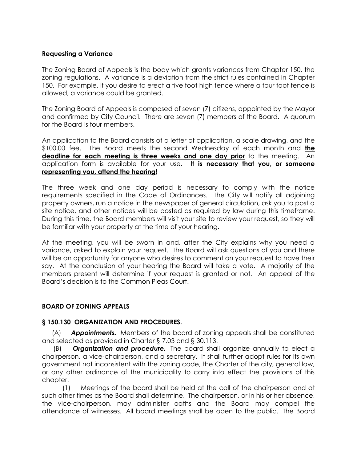### **Requesting a Variance**

The Zoning Board of Appeals is the body which grants variances from Chapter 150, the zoning regulations. A variance is a deviation from the strict rules contained in Chapter 150. For example, if you desire to erect a five foot high fence where a four foot fence is allowed, a variance could be granted.

The Zoning Board of Appeals is composed of seven (7) citizens, appointed by the Mayor and confirmed by City Council. There are seven (7) members of the Board. A quorum for the Board is four members.

An application to the Board consists of a letter of application, a scale drawing, and the \$100.00 fee. The Board meets the second Wednesday of each month and **the deadline for each meeting is three weeks and one day prior** to the meeting. An application form is available for your use. **It is necessary that you, or someone representing you, attend the hearing!**

The three week and one day period is necessary to comply with the notice requirements specified in the Code of Ordinances. The City will notify all adjoining property owners, run a notice in the newspaper of general circulation, ask you to post a site notice, and other notices will be posted as required by law during this timeframe. During this time, the Board members will visit your site to review your request, so they will be familiar with your property at the time of your hearing.

At the meeting, you will be sworn in and, after the City explains why you need a variance, asked to explain your request. The Board will ask questions of you and there will be an opportunity for anyone who desires to comment on your request to have their say. At the conclusion of your hearing the Board will take a vote. A majority of the members present will determine if your request is granted or not. An appeal of the Board's decision is to the Common Pleas Court.

## **BOARD OF ZONING APPEALS**

#### **§ 150.130 ORGANIZATION AND PROCEDURES.**

(A) *Appointments.* Members of the board of zoning appeals shall be constituted and selected as provided in Charter § 7.03 and § 30.113.

(B) *Organization and procedure.* The board shall organize annually to elect a chairperson, a vice-chairperson, and a secretary. It shall further adopt rules for its own government not inconsistent with the zoning code, the Charter of the city, general law, or any other ordinance of the municipality to carry into effect the provisions of this chapter.

 (1) Meetings of the board shall be held at the call of the chairperson and at such other times as the Board shall determine. The chairperson, or in his or her absence, the vice-chairperson, may administer oaths and the Board may compel the attendance of witnesses. All board meetings shall be open to the public. The Board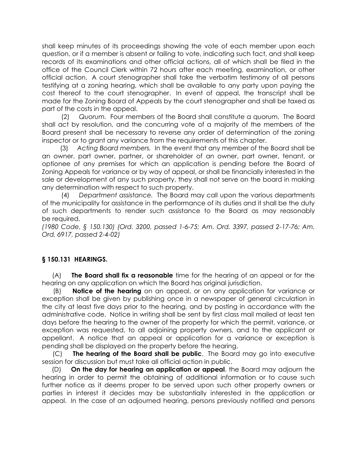shall keep minutes of its proceedings showing the vote of each member upon each question, or if a member is absent or failing to vote, indicating such fact, and shall keep records of its examinations and other official actions, all of which shall be filed in the office of the Council Clerk within 72 hours after each meeting, examination, or other official action. A court stenographer shall take the verbatim testimony of all persons testifying at a zoning hearing, which shall be available to any party upon paying the cost thereof to the court stenographer. In event of appeal, the transcript shall be made for the Zoning Board of Appeals by the court stenographer and shall be taxed as part of the costs in the appeal.

 (2) *Quorum.* Four members of the Board shall constitute a quorum. The Board shall act by resolution, and the concurring vote of a majority of the members of the Board present shall be necessary to reverse any order of determination of the zoning inspector or to grant any variance from the requirements of this chapter.

 (3) *Acting Board members.* In the event that any member of the Board shall be an owner, part owner, partner, or shareholder of an owner, part owner, tenant, or optionee of any premises for which an application is pending before the Board of Zoning Appeals for variance or by way of appeal, or shall be financially interested in the sale or development of any such property, they shall not serve on the board in making any determination with respect to such property.

 (4) *Department assistance.* The Board may call upon the various departments of the municipality for assistance in the performance of its duties and it shall be the duty of such departments to render such assistance to the Board as may reasonably be required.

*(1980 Code, § 150.130) (Ord. 3200, passed 1-6-75; Am. Ord. 3397, passed 2-17-76; Am. Ord. 6917, passed 2-4-02)*

## **§ 150.131 HEARINGS.**

(A) **The Board shall fix a reasonable** time for the hearing of an appeal or for the hearing on any application on which the Board has original jurisdiction.

(B) **Notice of the hearing** on an appeal, or on any application for variance or exception shall be given by publishing once in a newspaper of general circulation in the city at least five days prior to the hearing, and by posting in accordance with the administrative code. Notice in writing shall be sent by first class mail mailed at least ten days before the hearing to the owner of the property for which the permit, variance, or exception was requested, to all adjoining property owners, and to the applicant or appellant. A notice that an appeal or application for a variance or exception is pending shall be displayed on the property before the hearing.

(C) **The hearing of the Board shall be public**. The Board may go into executive session for discussion but must take all official action in public.

(D) **On the day for hearing an application or appeal**, the Board may adjourn the hearing in order to permit the obtaining of additional information or to cause such further notice as it deems proper to be served upon such other property owners or parties in interest it decides may be substantially interested in the application or appeal. In the case of an adjourned hearing, persons previously notified and persons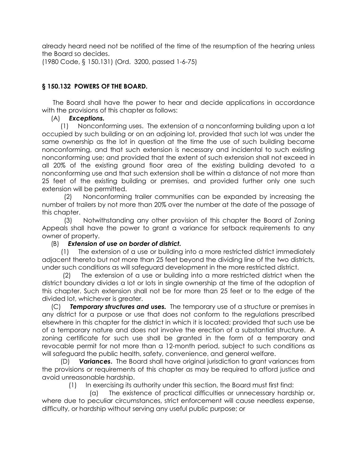already heard need not be notified of the time of the resumption of the hearing unless the Board so decides.

(1980 Code, § 150.131) (Ord. 3200, passed 1-6-75)

# **§ 150.132 POWERS OF THE BOARD.**

The Board shall have the power to hear and decide applications in accordance with the provisions of this chapter as follows:

## (A) *Exceptions.*

 (1) Nonconforming uses. The extension of a nonconforming building upon a lot occupied by such building or on an adjoining lot, provided that such lot was under the same ownership as the lot in question at the time the use of such building became nonconforming, and that such extension is necessary and incidental to such existing nonconforming use; and provided that the extent of such extension shall not exceed in all 20% of the existing ground floor area of the existing building devoted to a nonconforming use and that such extension shall be within a distance of not more than 25 feet of the existing building or premises, and provided further only one such extension will be permitted.

 (2) Nonconforming trailer communities can be expanded by increasing the number of trailers by not more than 20% over the number at the date of the passage of this chapter.

 (3) Notwithstanding any other provision of this chapter the Board of Zoning Appeals shall have the power to grant a variance for setback requirements to any owner of property.

## (B) *Extension of use on border of district.*

 (1) The extension of a use or building into a more restricted district immediately adjacent thereto but not more than 25 feet beyond the dividing line of the two districts, under such conditions as will safeguard development in the more restricted district.

 (2) The extension of a use or building into a more restricted district when the district boundary divides a lot or lots in single ownership at the time of the adoption of this chapter. Such extension shall not be for more than 25 feet or to the edge of the divided lot, whichever is greater.

(C) *Temporary structures and uses.* The temporary use of a structure or premises in any district for a purpose or use that does not conform to the regulations prescribed elsewhere in this chapter for the district in which it is located; provided that such use be of a temporary nature and does not involve the erection of a substantial structure. A zoning certificate for such use shall be granted in the form of a temporary and revocable permit for not more than a 12-month period, subject to such conditions as will safeguard the public health, safety, convenience, and general welfare.

 (D) *Variances***.** The Board shall have original jurisdiction to grant variances from the provisions or requirements of this chapter as may be required to afford justice and avoid unreasonable hardship.

(1) In exercising its authority under this section, the Board must first find:

 (a) The existence of practical difficulties or unnecessary hardship or, where due to peculiar circumstances, strict enforcement will cause needless expense, difficulty, or hardship without serving any useful public purpose; or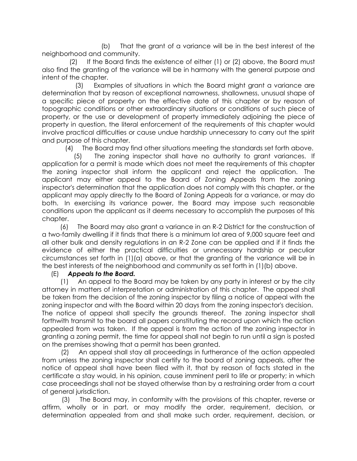(b) That the grant of a variance will be in the best interest of the neighborhood and community.

 (2) If the Board finds the existence of either (1) or (2) above, the Board must also find the granting of the variance will be in harmony with the general purpose and intent of the chapter.

 (3) Examples of situations in which the Board might grant a variance are determination that by reason of exceptional narrowness, shallowness, unusual shape of a specific piece of property on the effective date of this chapter or by reason of topographic conditions or other extraordinary situations or conditions of such piece of property, or the use or development of property immediately adjoining the piece of property in question, the literal enforcement of the requirements of this chapter would involve practical difficulties or cause undue hardship unnecessary to carry out the spirit and purpose of this chapter.

(4) The Board may find other situations meeting the standards set forth above.

 (5) The zoning inspector shall have no authority to grant variances. If application for a permit is made which does not meet the requirements of this chapter the zoning inspector shall inform the applicant and reject the application. The applicant may either appeal to the Board of Zoning Appeals from the zoning inspector's determination that the application does not comply with this chapter, or the applicant may apply directly to the Board of Zoning Appeals for a variance, or may do both. In exercising its variance power, the Board may impose such reasonable conditions upon the applicant as it deems necessary to accomplish the purposes of this chapter.

 (6) The Board may also grant a variance in an R-2 District for the construction of a two-family dwelling if it finds that there is a minimum lot area of 9,000 square feet and all other bulk and density regulations in an R-2 Zone can be applied and if it finds the evidence of either the practical difficulties or unnecessary hardship or peculiar circumstances set forth in (1)(a) above, or that the granting of the variance will be in the best interests of the neighborhood and community as set forth in (1)(b) above.

## (E) *Appeals to the Board.*

 (1) An appeal to the Board may be taken by any party in interest or by the city attorney in matters of interpretation or administration of this chapter. The appeal shall be taken from the decision of the zoning inspector by filing a notice of appeal with the zoning inspector and with the Board within 20 days from the zoning inspector's decision. The notice of appeal shall specify the grounds thereof. The zoning inspector shall forthwith transmit to the board all papers constituting the record upon which the action appealed from was taken. If the appeal is from the action of the zoning inspector in granting a zoning permit, the time for appeal shall not begin to run until a sign is posted on the premises showing that a permit has been granted.

 (2) An appeal shall stay all proceedings in furtherance of the action appealed from unless the zoning inspector shall certify to the board of zoning appeals, after the notice of appeal shall have been filed with it, that by reason of facts stated in the certificate a stay would, in his opinion, cause imminent peril to life or property; in which case proceedings shall not be stayed otherwise than by a restraining order from a court of general jurisdiction.

 (3) The Board may, in conformity with the provisions of this chapter, reverse or affirm, wholly or in part, or may modify the order, requirement, decision, or determination appealed from and shall make such order, requirement, decision, or